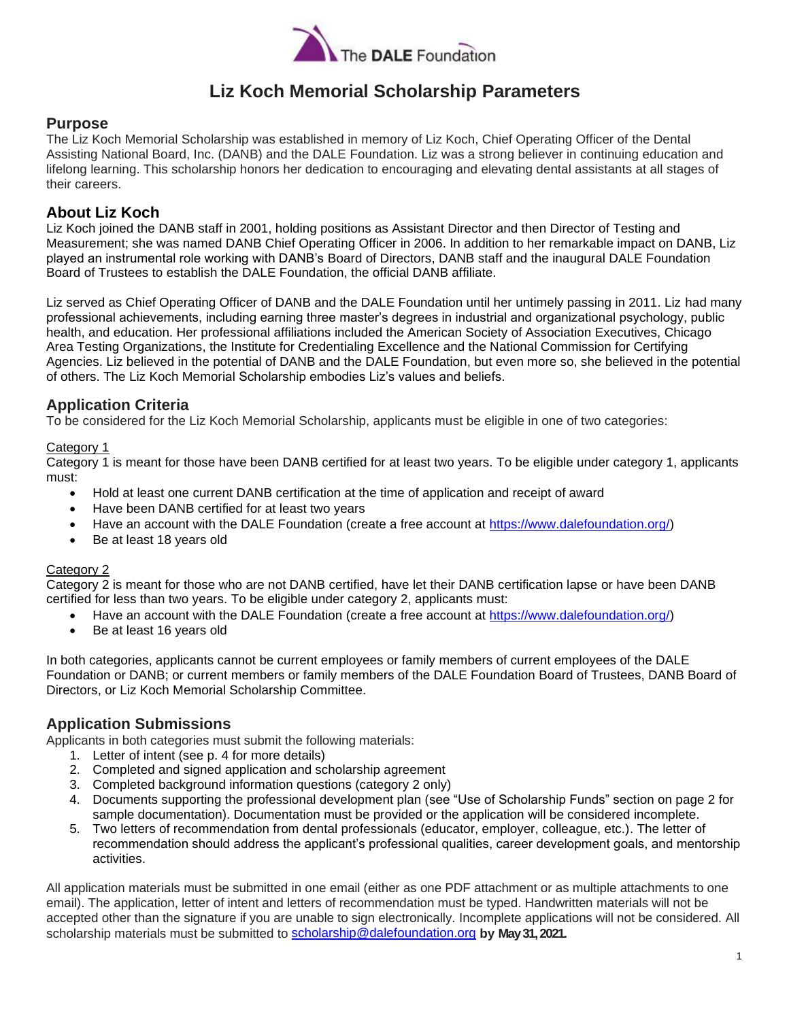

## **Liz Koch Memorial Scholarship Parameters**

### **Purpose**

The Liz Koch Memorial Scholarship was established in memory of Liz Koch, Chief Operating Officer of the Dental Assisting National Board, Inc. (DANB) and the DALE Foundation. Liz was a strong believer in continuing education and lifelong learning. This scholarship honors her dedication to encouraging and elevating dental assistants at all stages of their careers.

### **About Liz Koch**

Liz Koch joined the DANB staff in 2001, holding positions as Assistant Director and then Director of Testing and Measurement; she was named DANB Chief Operating Officer in 2006. In addition to her remarkable impact on DANB, Liz played an instrumental role working with DANB's Board of Directors, DANB staff and the inaugural DALE Foundation Board of Trustees to establish the DALE Foundation, the official DANB affiliate.

Liz served as Chief Operating Officer of DANB and the DALE Foundation until her untimely passing in 2011. Liz had many professional achievements, including earning three master's degrees in industrial and organizational psychology, public health, and education. Her professional affiliations included the American Society of Association Executives, Chicago Area Testing Organizations, the Institute for Credentialing Excellence and the National Commission for Certifying Agencies. Liz believed in the potential of DANB and the DALE Foundation, but even more so, she believed in the potential of others. The Liz Koch Memorial Scholarship embodies Liz's values and beliefs.

### **Application Criteria**

To be considered for the Liz Koch Memorial Scholarship, applicants must be eligible in one of two categories:

#### Category 1

Category 1 is meant for those have been DANB certified for at least two years. To be eligible under category 1, applicants must:

- Hold at least one current DANB certification at the time of application and receipt of award
- Have been DANB certified for at least two years
- Have an account with the DALE Foundation (create a free account at https://www.dalefoundation.org/)
- Be at least 18 years old

#### Category 2

Category 2 is meant for those who are not DANB certified, have let their DANB certification lapse or have been DANB certified for less than two years. To be eligible under category 2, applicants must:

- Have an account with the DALE Foundation (create a free account at https://www.dalefoundation.org/)
- Be at least 16 years old

In both categories, applicants cannot be current employees or family members of current employees of the DALE Foundation or DANB; or current members or family members of the DALE Foundation Board of Trustees, DANB Board of Directors, or Liz Koch Memorial Scholarship Committee.

### **Application Submissions**

Applicants in both categories must submit the following materials:

- 1. Letter of intent (see p. 4 for more details)
- 2. Completed and signed application and scholarship agreement
- 3. Completed background information questions (category 2 only)
- 4. Documents supporting the professional development plan (see "Use of Scholarship Funds" section on page 2 for sample documentation). Documentation must be provided or the application will be considered incomplete.
- 5. Two letters of recommendation from dental professionals (educator, employer, colleague, etc.). The letter of recommendation should address the applicant's professional qualities, career development goals, and mentorship activities.

All application materials must be submitted in one email (either as one PDF attachment or as multiple attachments to one email). The application, letter of intent and letters of recommendation must be typed. Handwritten materials will not be accepted other than the signature if you are unable to sign electronically. Incomplete applications will not be considered. All scholarship materials must be submitted to scholarship@dalefoundation.org **by May 31, 2021.**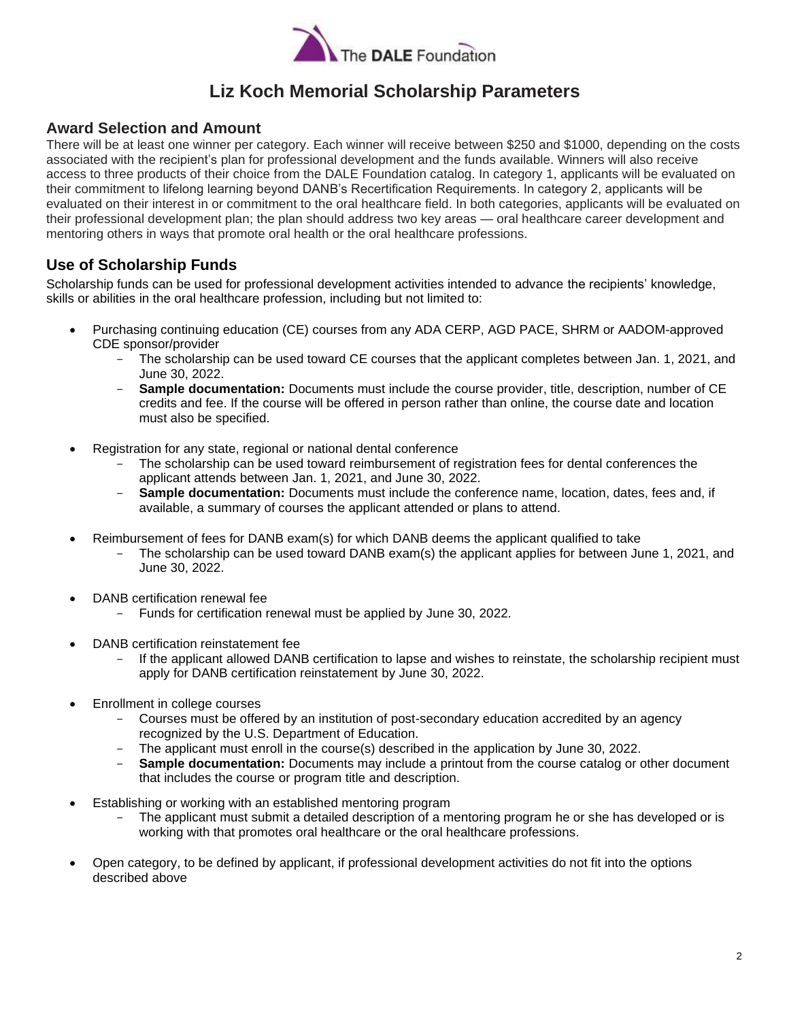

# **Liz Koch Memorial Scholarship Parameters**

### **Award Selection and Amount**

There will be at least one winner per category. Each winner will receive between \$250 and \$1000, depending on the costs associated with the recipient's plan for professional development and the funds available. Winners will also receive access to three products of their choice from the DALE Foundation catalog. In category 1, applicants will be evaluated on their commitment to lifelong learning beyond DANB's Recertification Requirements. In category 2, applicants will be evaluated on their interest in or commitment to the oral healthcare field. In both categories, applicants will be evaluated on their professional development plan; the plan should address two key areas — oral healthcare career development and mentoring others in ways that promote oral health or the oral healthcare professions.

### **Use of Scholarship Funds**

Scholarship funds can be used for professional development activities intended to advance the recipients' knowledge, skills or abilities in the oral healthcare profession, including but not limited to:

- Purchasing continuing education (CE) courses from any ADA CERP, AGD PACE, SHRM or AADOM-approved CDE sponsor/provider
	- The scholarship can be used toward CE courses that the applicant completes between Jan. 1, 2021, and June 30, 2022.
	- **Sample documentation:** Documents must include the course provider, title, description, number of CE credits and fee. If the course will be offered in person rather than online, the course date and location must also be specified.
- Registration for any state, regional or national dental conference
	- The scholarship can be used toward reimbursement of registration fees for dental conferences the applicant attends between Jan. 1, 2021, and June 30, 2022.
	- **Sample documentation:** Documents must include the conference name, location, dates, fees and, if available, a summary of courses the applicant attended or plans to attend.
- Reimbursement of fees for DANB exam(s) for which DANB deems the applicant qualified to take
	- The scholarship can be used toward DANB exam(s) the applicant applies for between June 1, 2021, and June 30, 2022.
- DANB certification renewal fee
	- Funds for certification renewal must be applied by June 30, 2022.
- DANB certification reinstatement fee
	- If the applicant allowed DANB certification to lapse and wishes to reinstate, the scholarship recipient must apply for DANB certification reinstatement by June 30, 2022.
- Enrollment in college courses
	- Courses must be offered by an institution of post-secondary education accredited by an agency recognized by the U.S. Department of Education.
	- The applicant must enroll in the course(s) described in the application by June 30, 2022.
	- **Sample documentation:** Documents may include a printout from the course catalog or other document that includes the course or program title and description.
- Establishing or working with an established mentoring program
	- The applicant must submit a detailed description of a mentoring program he or she has developed or is working with that promotes oral healthcare or the oral healthcare professions.
- Open category, to be defined by applicant, if professional development activities do not fit into the options described above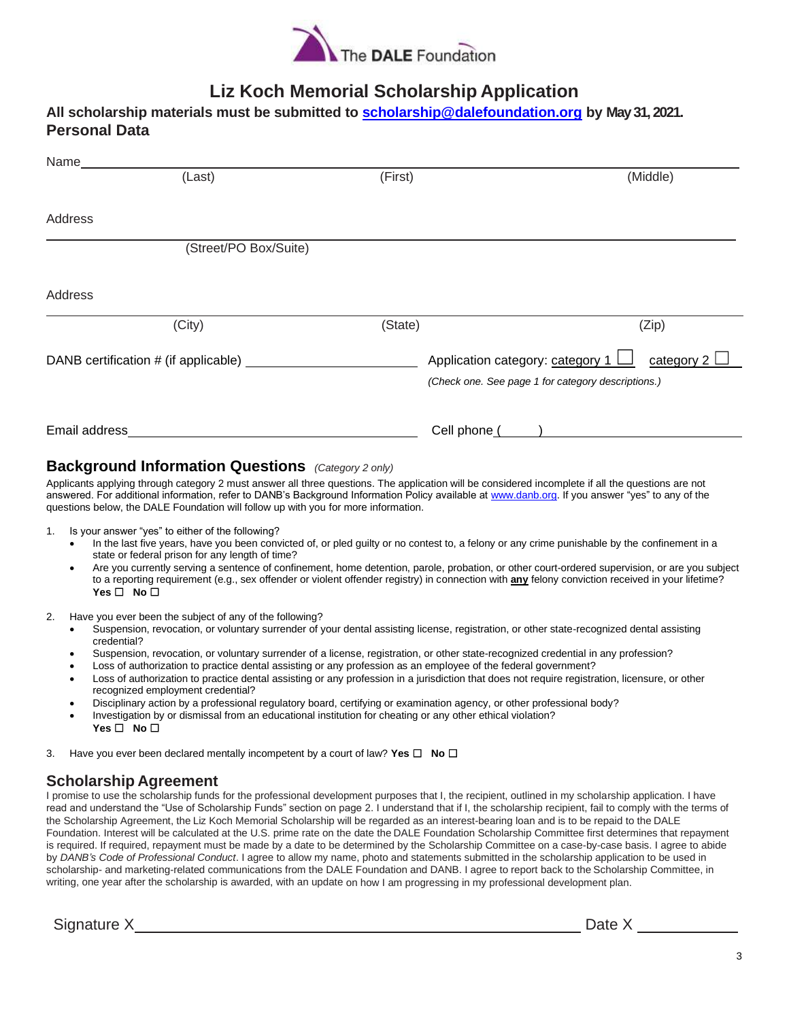

# **Liz Koch Memorial Scholarship Application**

| All scholarship materials must be submitted to <b>scholarship@dalefoundation.org</b> by May 31, 2021. |  |
|-------------------------------------------------------------------------------------------------------|--|
| <b>Personal Data</b>                                                                                  |  |

| Name          |                                      |         |                                                                                                      |
|---------------|--------------------------------------|---------|------------------------------------------------------------------------------------------------------|
|               | (Last)                               | (First) | (Middle)                                                                                             |
|               |                                      |         |                                                                                                      |
| Address       |                                      |         |                                                                                                      |
|               | (Street/PO Box/Suite)                |         |                                                                                                      |
| Address       |                                      |         |                                                                                                      |
|               | (City)                               | (State) | (Zip)                                                                                                |
|               | DANB certification # (if applicable) |         | Application category: category 1<br>category 2<br>(Check one. See page 1 for category descriptions.) |
| Email address |                                      |         | Cell phone (                                                                                         |

### **Background Information Questions** *(Category 2 only)*

Applicants applying through category 2 must answer all three questions. The application will be considered incomplete if all the questions are not answered. For additional information, refer to DANB's Background Information Policy available at www.danb.org. If you answer "yes" to any of the questions below, the DALE Foundation will follow up with you for more information.

- 1. Is your answer "yes" to either of the following?
	- In the last five years, have you been convicted of, or pled guilty or no contest to, a felony or any crime punishable by the confinement in a state or federal prison for any length of time?
	- Are you currently serving a sentence of confinement, home detention, parole, probation, or other court-ordered supervision, or are you subject to a reporting requirement (e.g., sex offender or violent offender registry) in connection with **any** felony conviction received in your lifetime? **Yes** ☐ **No** ☐
- 2. Have you ever been the subject of any of the following?
	- Suspension, revocation, or voluntary surrender of your dental assisting license, registration, or other state-recognized dental assisting credential?
	- Suspension, revocation, or voluntary surrender of a license, registration, or other state-recognized credential in any profession?
	- Loss of authorization to practice dental assisting or any profession as an employee of the federal government?
	- Loss of authorization to practice dental assisting or any profession in a jurisdiction that does not require registration, licensure, or other recognized employment credential?
	- Disciplinary action by a professional regulatory board, certifying or examination agency, or other professional body?
	- Investigation by or dismissal from an educational institution for cheating or any other ethical violation? **Yes** ☐ **No** ☐
- 3. Have you ever been declared mentally incompetent by a court of law? **Yes** ☐ **No** ☐

### **Scholarship Agreement**

I promise to use the scholarship funds for the professional development purposes that I, the recipient, outlined in my scholarship application. I have read and understand the "Use of Scholarship Funds" section on page 2. I understand that if I, the scholarship recipient, fail to comply with the terms of the Scholarship Agreement, the Liz Koch Memorial Scholarship will be regarded as an interest-bearing loan and is to be repaid to the DALE Foundation. Interest will be calculated at the U.S. prime rate on the date the DALE Foundation Scholarship Committee first determines that repayment is required. If required, repayment must be made by a date to be determined by the Scholarship Committee on a case-by-case basis. I agree to abide by *DANB's Code of Professional Conduct*. I agree to allow my name, photo and statements submitted in the scholarship application to be used in scholarship- and marketing-related communications from the DALE Foundation and DANB. I agree to report back to the Scholarship Committee, in writing, one year after the scholarship is awarded, with an update on how I am progressing in my professional development plan.

Signature X

| г. |  |
|----|--|
|    |  |